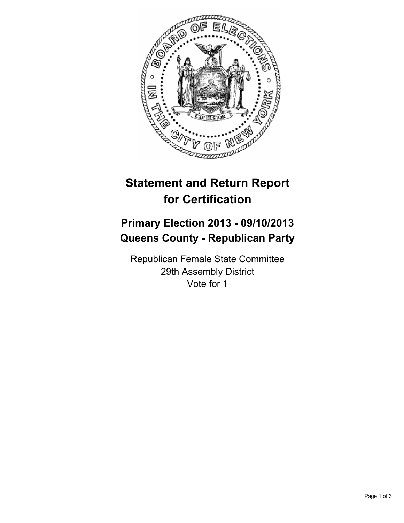

# **Statement and Return Report for Certification**

## **Primary Election 2013 - 09/10/2013 Queens County - Republican Party**

Republican Female State Committee 29th Assembly District Vote for 1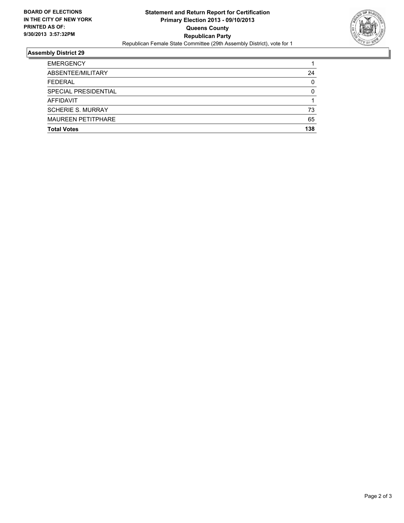

### **Assembly District 29**

| <b>EMERGENCY</b>          |          |
|---------------------------|----------|
| ABSENTEE/MILITARY         | 24       |
| <b>FEDERAL</b>            | $\Omega$ |
| SPECIAL PRESIDENTIAL      | 0        |
| AFFIDAVIT                 |          |
| <b>SCHERIE S. MURRAY</b>  | 73       |
| <b>MAUREEN PETITPHARE</b> | 65       |
| <b>Total Votes</b>        | 138      |